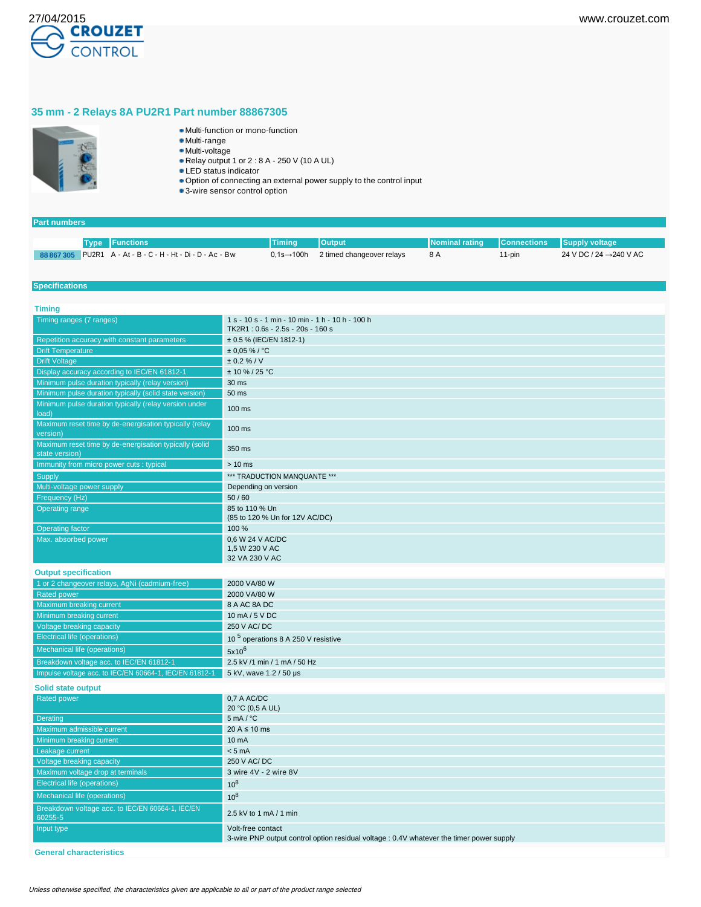

# **35 mm - 2 Relays 8A PU2R1 Part number 88867305**



- Multi-function or mono-function
- Multi-range
- Multi-voltage Relay output 1 or 2 : 8 A - 250 V (10 A UL)
- LED status indicator
- Option of connecting an external power supply to the control input
- 3-wire sensor control option

### **Part numbers**

|  | <b>Type Functions</b>                                       | $\sqrt{2}$ Timing          | <b>Output</b>             | Nominal rating   Connections   Supply voltage |        |                                     |
|--|-------------------------------------------------------------|----------------------------|---------------------------|-----------------------------------------------|--------|-------------------------------------|
|  | 88 867 305 PU2R1 A - At - B - C - H - Ht - Di - D - Ac - Bw | $0.1$ s $\rightarrow$ 100h | 2 timed changeover relays | 8 A                                           | 11-pin | 24 V DC / 24 $\rightarrow$ 240 V AC |

### **Specifications**

| <b>Timing</b>                                                            |                                                                                                               |
|--------------------------------------------------------------------------|---------------------------------------------------------------------------------------------------------------|
| Timing ranges (7 ranges)                                                 | 1 s - 10 s - 1 min - 10 min - 1 h - 10 h - 100 h<br>TK2R1: 0.6s - 2.5s - 20s - 160 s                          |
| Repetition accuracy with constant parameters                             | $\pm$ 0.5 % (IEC/EN 1812-1)                                                                                   |
| <b>Drift Temperature</b>                                                 | $± 0.05 \%$ / °C                                                                                              |
| <b>Drift Voltage</b>                                                     | ± 0.2 % / V                                                                                                   |
| Display accuracy according to IEC/EN 61812-1                             | $± 10 \% / 25 °C$                                                                                             |
| Minimum pulse duration typically (relay version)                         | 30 ms                                                                                                         |
| Minimum pulse duration typically (solid state version)                   | 50 ms                                                                                                         |
| Minimum pulse duration typically (relay version under<br>load)           | $100 \text{ ms}$                                                                                              |
| Maximum reset time by de-energisation typically (relay<br>version)       | 100 ms                                                                                                        |
| Maximum reset time by de-energisation typically (solid<br>state version) | 350 ms                                                                                                        |
| Immunity from micro power cuts : typical                                 | $> 10$ ms                                                                                                     |
| Supply                                                                   | *** TRADUCTION MANQUANTE ***                                                                                  |
| Multi-voltage power supply                                               | Depending on version                                                                                          |
| Frequency (Hz)                                                           | 50/60                                                                                                         |
| <b>Operating range</b>                                                   | 85 to 110 % Un<br>(85 to 120 % Un for 12V AC/DC)                                                              |
| <b>Operating factor</b>                                                  | 100 %                                                                                                         |
| Max. absorbed power                                                      | 0.6 W 24 V AC/DC<br>1,5 W 230 V AC<br>32 VA 230 V AC                                                          |
| <b>Output specification</b>                                              |                                                                                                               |
| 1 or 2 changeover relays, AgNi (cadmium-free)                            | 2000 VA/80 W                                                                                                  |
| <b>Rated power</b>                                                       | 2000 VA/80 W                                                                                                  |
| Maximum breaking current                                                 | 8 A AC 8A DC                                                                                                  |
| Minimum breaking current                                                 | 10 mA / 5 V DC                                                                                                |
| Voltage breaking capacity                                                | 250 V AC/DC                                                                                                   |
| <b>Electrical life (operations)</b>                                      | 10 <sup>5</sup> operations 8 A 250 V resistive                                                                |
| <b>Mechanical life (operations)</b>                                      | $5x10^6$                                                                                                      |
|                                                                          |                                                                                                               |
| Breakdown voltage acc. to IEC/EN 61812-1                                 | 2.5 kV /1 min / 1 mA / 50 Hz                                                                                  |
| Impulse voltage acc. to IEC/EN 60664-1, IEC/EN 61812-1                   | 5 kV, wave 1.2 / 50 µs                                                                                        |
| <b>Solid state output</b>                                                |                                                                                                               |
| Rated power                                                              | 0,7 A AC/DC<br>20 °C (0,5 A UL)                                                                               |
| Derating                                                                 | $5 \text{ mA} / {}^{\circ}\text{C}$                                                                           |
| Maximum admissible current                                               | $20 A \le 10 ms$                                                                                              |
| Minimum breaking current                                                 | 10 <sub>m</sub> A                                                                                             |
| Leakage current                                                          | < 5 mA                                                                                                        |
| Voltage breaking capacity                                                | 250 V AC/DC                                                                                                   |
| Maximum voltage drop at terminals                                        | 3 wire 4V - 2 wire 8V                                                                                         |
| <b>Electrical life (operations)</b>                                      | $10^8$                                                                                                        |
| Mechanical life (operations)                                             | $10^8$                                                                                                        |
| Breakdown voltage acc. to IEC/EN 60664-1, IEC/EN<br>60255-5              | 2.5 kV to 1 mA / 1 min                                                                                        |
| Input type                                                               | Volt-free contact<br>3-wire PNP output control option residual voltage : 0.4V whatever the timer power supply |
|                                                                          |                                                                                                               |

**General characteristics**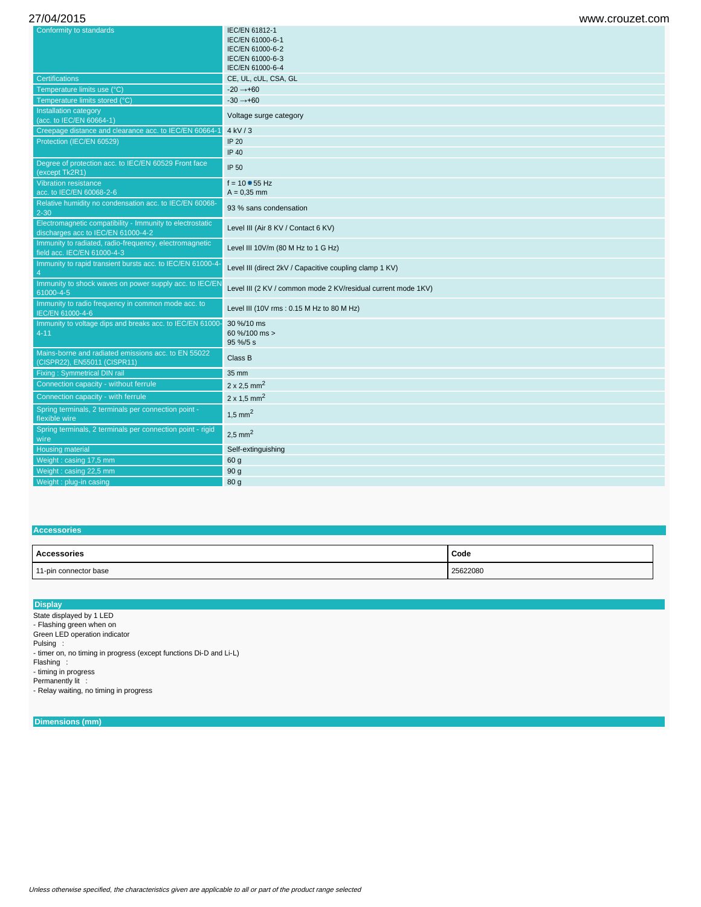| Conformity to standards                                                                         | IEC/EN 61812-1<br>IEC/EN 61000-6-1                            |
|-------------------------------------------------------------------------------------------------|---------------------------------------------------------------|
|                                                                                                 | IEC/EN 61000-6-2                                              |
|                                                                                                 | IEC/EN 61000-6-3                                              |
|                                                                                                 | IEC/EN 61000-6-4                                              |
| <b>Certifications</b>                                                                           | CE, UL, cUL, CSA, GL                                          |
| Temperature limits use (°C)                                                                     | $-20 \rightarrow +60$                                         |
| Temperature limits stored (°C)                                                                  | $-30 \rightarrow +60$                                         |
| Installation category<br>(acc. to IEC/EN 60664-1)                                               | Voltage surge category                                        |
| Creepage distance and clearance acc. to IEC/EN 60664-1                                          | $4$ kV $/3$                                                   |
| Protection (IEC/EN 60529)                                                                       | <b>IP 20</b>                                                  |
|                                                                                                 | IP 40                                                         |
| Degree of protection acc. to IEC/EN 60529 Front face<br>(except Tk2R1)                          | IP 50                                                         |
| <b>Vibration resistance</b>                                                                     | $f = 10 - 55$ Hz                                              |
| acc. to IEC/EN 60068-2-6                                                                        | $A = 0.35$ mm                                                 |
| Relative humidity no condensation acc. to IEC/EN 60068-<br>$2 - 30$                             | 93 % sans condensation                                        |
| Electromagnetic compatibility - Immunity to electrostatic<br>discharges acc to IEC/EN 61000-4-2 | Level III (Air 8 KV / Contact 6 KV)                           |
| Immunity to radiated, radio-frequency, electromagnetic<br>field acc. IEC/EN 61000-4-3           | Level III 10V/m (80 M Hz to 1 G Hz)                           |
| Immunity to rapid transient bursts acc. to IEC/EN 61000-4-<br>$\overline{4}$                    | Level III (direct 2kV / Capacitive coupling clamp 1 KV)       |
| Immunity to shock waves on power supply acc. to IEC/EN<br>61000-4-5                             | Level III (2 KV / common mode 2 KV/residual current mode 1KV) |
| Immunity to radio frequency in common mode acc. to<br>IEC/EN 61000-4-6                          | Level III (10V rms: 0.15 M Hz to 80 M Hz)                     |
| Immunity to voltage dips and breaks acc. to IEC/EN 61000-<br>$4 - 11$                           | 30 %/10 ms<br>60 %/100 ms ><br>95 %/5 s                       |
| Mains-borne and radiated emissions acc. to EN 55022<br>(CISPR22), EN55011 (CISPR11)             | Class B                                                       |
| <b>Fixing: Symmetrical DIN rail</b>                                                             | 35 mm                                                         |
| Connection capacity - without ferrule                                                           | $2 \times 2.5$ mm <sup>2</sup>                                |
| Connection capacity - with ferrule                                                              | $2 \times 1.5$ mm <sup>2</sup>                                |
| Spring terminals, 2 terminals per connection point -<br>flexible wire                           | $1,5$ mm <sup>2</sup>                                         |
| Spring terminals, 2 terminals per connection point - rigid<br>wire                              | $2.5$ mm <sup>2</sup>                                         |
| <b>Housing material</b>                                                                         | Self-extinguishing                                            |
| Weight: casing 17,5 mm                                                                          | 60 g                                                          |
| Weight: casing 22,5 mm                                                                          | 90 <sub>g</sub>                                               |
| Weight: plug-in casing                                                                          | 80 g                                                          |
|                                                                                                 |                                                               |

## **Accessories**

| <b>Accessories</b>    | Code     |
|-----------------------|----------|
| 11-pin connector base | 25622080 |

### **Display**

State displayed by 1 LED - Flashing green when on Green LED operation indicator

Pulsing : - timer on, no timing in progress (except functions Di-D and Li-L)

Flashing :

- timing in progress

Permanently lit : - Relay waiting, no timing in progress

**Dimensions (mm)**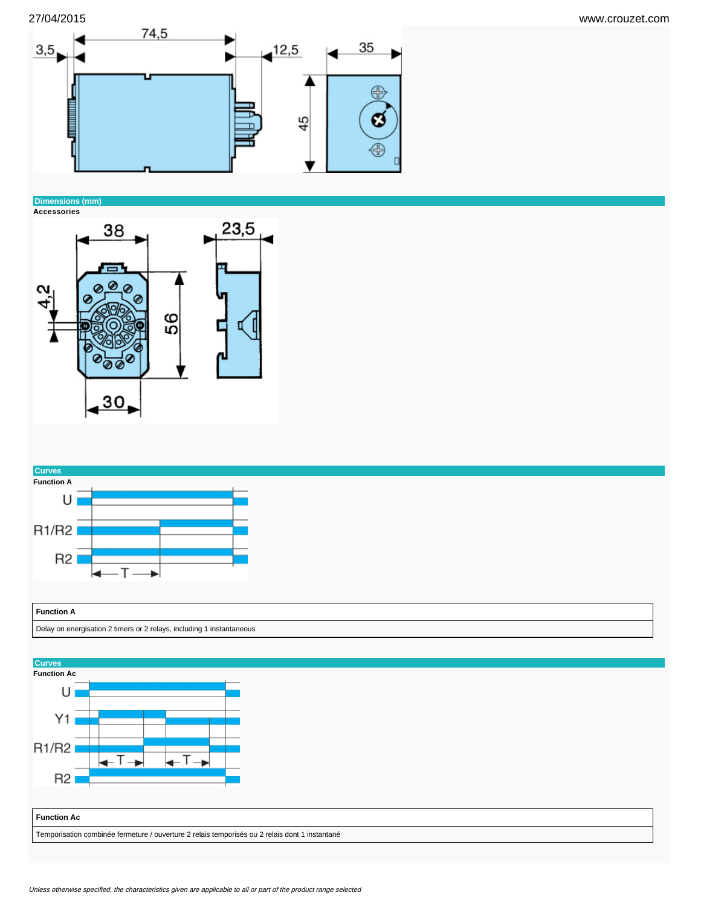



# **Dimensions (mm)**





# **Function A**

### Delay on energisation 2 timers or 2 relays, including 1 instantaneous

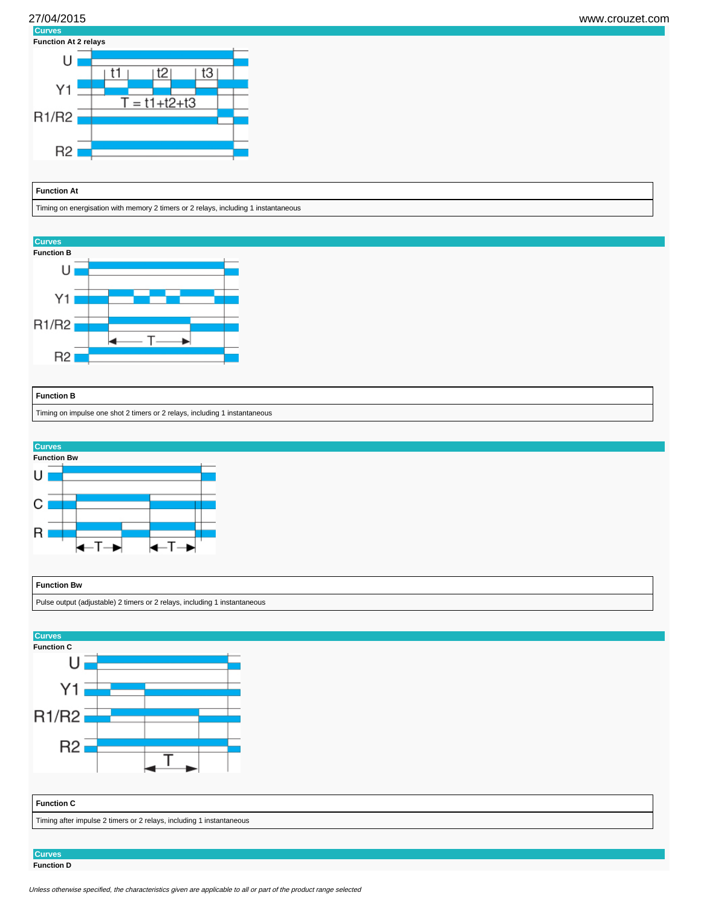





Timing on energisation with memory 2 timers or 2 relays, including 1 instantaneous

**Curves**



# **Function B** Timing on impulse one shot 2 timers or 2 relays, including 1 instantaneous



# **Function Bw**

Pulse output (adjustable) 2 timers or 2 relays, including 1 instantaneous



**Curves Function D**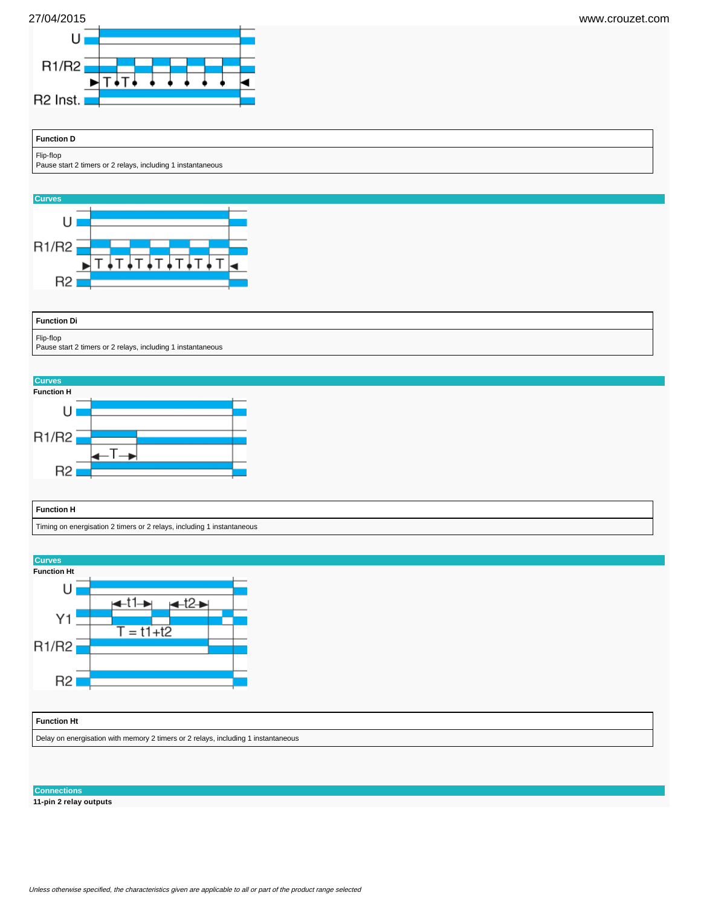



| <b>Function D</b>                                                        |  |  |  |
|--------------------------------------------------------------------------|--|--|--|
| Flip-flop<br>Pause start 2 timers or 2 relays, including 1 instantaneous |  |  |  |







#### **Connections**

**11-pin 2 relay outputs**